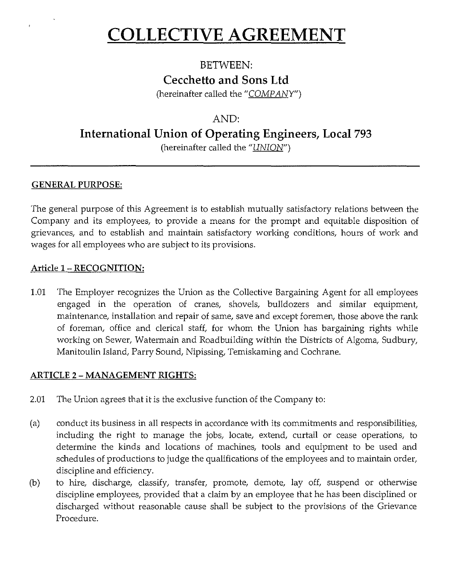# **COLLECTIVE AGREEMENT**

# BETWEEN: **Cecchetto and Sons Ltd**

(hereinafter called the " $\sqrt{COMPANY}$ ")

# AND:

# **International Union of Operating Engineers, Local 793**

(hereinafter called the "UNION")

# **GENERAL PURPOSE:**

The general purpose of this Agreement is to establish mutually satisfactory relations between the Company and its employees, to provide a means for the prompt and equitable disposition of grievances, and to establish and maintain satisfactory working conditions, hours of work and wages for all employees who are subject to its provisions.

#### Article **1- RECOGNITION:**

1.01 The Employer recognizes the Union as the Collective Bargaining Agent for all employees engaged in the operation of cranes, shovels, bulldozers and similar equipment, maintenance, installation and repair of same, save and except foremen, those above the rank of foreman, office and clerical staff, for whom the Union has bargaining rights while working on Sewer, Watermain and Roadbuilding within the Districts of Algoma, Sudbury, Manitoulin Island, Parry Sound, Nipissing, Temiskaming and Cochrane.

# **ARTICLE 2 - MANAGEMENT RIGHTS:**

- 2.01 The Union agrees that it is the exclusive function of the Company to:
- (a) conduct its business in all respects in accordance with its commitments and responsibilities, including the right to manage the jobs, locate, extend, curtail or cease operations, to determine the kinds and locations of machines, tools and equipment to be used and schedules of productions to judge the qualifications of the employees and to maintain order, discipline and efficiency.
- (b) to hire, discharge, classify, transfer, promote, demote, lay off, suspend or otherwise discipline employees, provided that a claim by an employee that he has been disciplined or discharged without reasonable cause shall be subject to the provisions of the Grievance Procedure.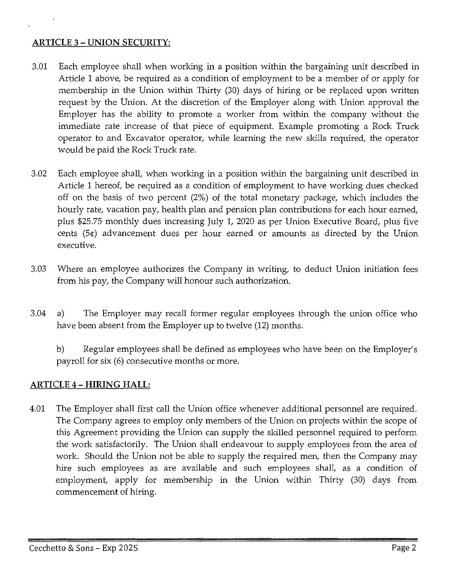#### **ARTICLE** 3 - **UNION SECURITY:**

- 3.01 Each employee shall when working in a position within the bargaining unit described in Article 1 above, be required as a condition of employment to be a member of or apply for membership in the Union within Thirty (30) days of hiring or be replaced upon written request by the Union. At the discretion of the Employer along with Union approval the Employer has the ability to promote a worker from within the company without the immediate rate increase of that piece of equipment. Example promoting a Rock Truck operator to and Excavator operator, while learning the new skills required, the operator would be paid the Rock Truck rate.
- 3.02 Each employee shall, when working in a position within the bargaining unit described in Article 1 hereof, be required as a condition of employment to have working dues checked off on the basis of two percent (2%) of the total monetary package, which includes the hourly rate, vacation pay, health plan and pension plan contributions for each hour earned, plus \$25.75 monthly dues increasing July 1, 2020 as per Union Executive Board, plus five cents (5¢) advancement dues per hour earned or amounts as directed by the Union executive.
- 3.03 Where an employee authorizes the Company in writing, to deduct Union initiation fees from his pay, the Company will honour such authorization.
- 3.04 a) The Employer may recall former regular employees through the union office who have been absent from the Employer up to twelve (12) months.

b) Regular employees shall be defined as employees who have been on the Employer's payroll for six (6) consecutive months or more.

# **ARTICLE 4-HIRING HALL:**

4.01 The Employer shall first call the Union office whenever additional personnel are required. The Company agrees to employ only members of the Union on projects within the scope of this Agreement providing the Union can supply the skilled personnel required to perform the work satisfactorily. The Union shall endeavour to supply employees from the area of work. Should the Union not be able to supply the required men, then the Company may hire such employees as are available and such employees shall, as a condition of employment, apply for membership in the Union within Thirty (30) days from commencement of hiring.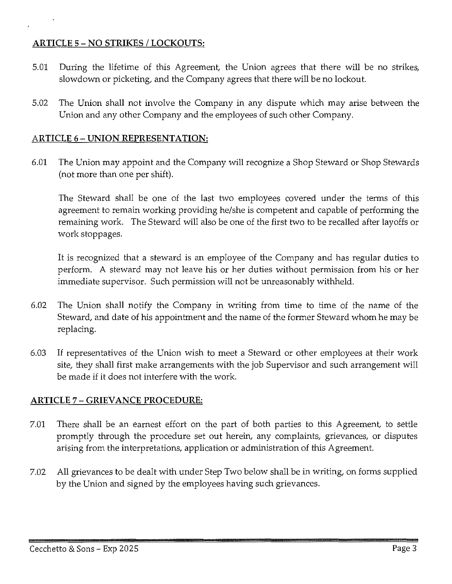#### **ARTICLE** 5 - NO **STRIKES I LOCKOUTS:**

- 5.01 During the lifetime of this Agreement, the Union agrees that there will be no strikes, slowdown or picketing, and the Company agrees that there will be no lockout.
- 5.02 The Union shall not involve the Company in any dispute which may arise between the Union and any other Company and the employees of such other Company.

#### **ARTICLE 6- UNION REPRESENTATION:**

6.01 The Union may appoint and the Company will recognize a Shop Steward or Shop Stewards (not more than one per shift).

The Steward shall be one of the last two employees covered under the terms of this agreement to remain working providing he/she is competent and capable of performing the remaining work. The Steward will also be one of the first two to be recalled after layoffs or work stoppages.

It is recognized that a steward is an employee of the Company and has regular duties to perform. A steward may not leave his or her duties without permission from his or her immediate supervisor. Such permission will not be unreasonably withheld.

- 6.02 The Union shall notify the Company in writing from time to time of the name of the Steward, and date of his appointment and the name of the former Steward whom he may be replacing.
- 6.03 If representatives of the Union wish to meet a Steward or other employees at their work site, they shall first make arrangements with the job Supervisor and such arrangement will be made if it does not interfere with the work.

#### **ARTICLE** 7 - **GRIEVANCE PROCEDURE:**

- 7.01 There shall be an earnest effort on the part of both parties to this Agreement, to settle promptly through the procedure set out herein, any complaints, grievances, or disputes arising from the interpretations, application or administration of this Agreement.
- 7.02 All grievances to be dealt with under Step Two below shall be in writing, on forms supplied by the Union and signed by the employees having such grievances.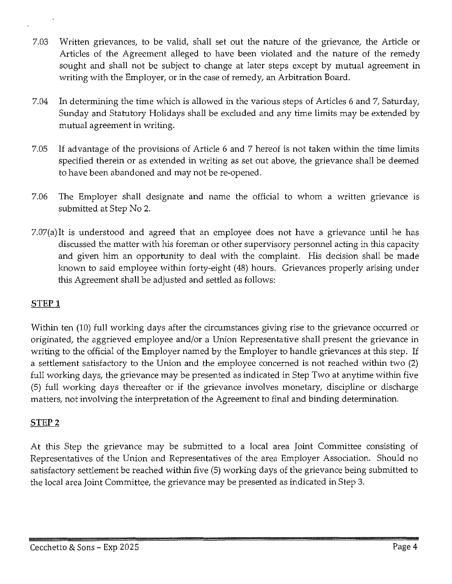- 7.03 Written grievances, to be valid, shall set out the nature of the grievance, the Article or Articles of the Agreement alleged to have been violated and the nature of the remedy sought and shall not be subject to change at later steps except by mutual agreement in writing with the Employer, or in the case of remedy, an Arbitration Board.
- 7.04 In determining the time which is allowed in the various steps of Articles 6 and 7, Saturday, Sunday and Statutory Holidays shall be excluded and any time limits may be extended by mutual agreement in writing.
- 7.05 If advantage of the provisions of Article 6 and 7 hereof is not taken within the time limits specified therein or as extended in writing as set out above, the grievance shall be deemed to have been abandoned and may not be re-opened.
- 7.06 The Employer shall designate and name the official to whom a written grievance is submitted at Step No 2.
- 7.07(a)It is understood and agreed that an employee does not have a grievance until he has discussed the matter with his foreman or other supervisory personnel acting in this capacity and given him an opportunity to deal with the complaint. His decision shall be made known to said employee within forty-eight (48) hours. Grievances properly arising under this Agreement shall be adjusted and settled as follows:

# **STEPl**

Within ten (10) full working days after the circumstances giving rise to the grievance occurred or originated, the aggrieved employee and/or a Union Representative shall present the grievance in writing to the official of the Employer named by the Employer to handle grievances at this step. If a settlement satisfactory to the Union and the employee concerned is not reached within two (2) full working days, the grievance may be presented as indicated in Step Two at anytime within five (5) full working days thereafter or if the grievance involves monetary, discipline or discharge matters, not involving the interpretation of the Agreement to final and binding determination.

# **STEP2**

At this Step the grievance may be submitted to a local area Joint Committee consisting of Representatives of the Union and Representatives of the area Employer Association. Should no satisfactory settlement be reached within five (5) working days of the grievance being submitted to the local area Joint Committee, the grievance may be presented as indicated in Step 3.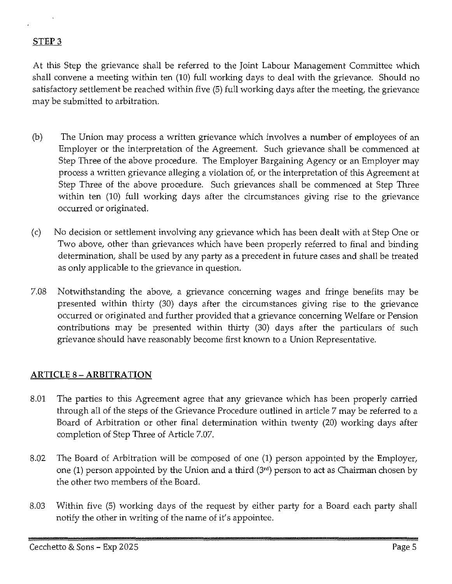#### **STEP3**

At this Step the grievance shall be referred to the Joint Labour Management Committee which shall convene a meeting within ten (10) full working days to deal with the grievance. Should no satisfactory settlement be reached within five (5) full working days after the meeting, the grievance may be submitted to arbitration.

- (b) The Union may process a written grievance which involves a number of employees of an Employer or the interpretation of the Agreement. Such grievance shall be commenced at Step Three of the above procedure. The Employer Bargaining Agency or an Employer may process a written grievance alleging a violation of, or the interpretation of this Agreement at Step Three of the above procedure. Such grievances shall be commenced at Step Three within ten (10) full working days after the circumstances giving rise to the grievance occurred or originated.
- (c) No decision or settlement involving any grievance which has been dealt with at Step One or Two above, other than grievances which have been properly referred to final and binding determination, shall be used by any party as a precedent in future cases and shall be treated as only applicable to the grievance in question.
- 7.08 Notwithstanding the above, a grievance concerning wages and fringe benefits may be presented within thirty (30) days after the circumstances giving rise to the grievance occurred or originated and further provided that a grievance concerning Welfare or Pension contributions may be presented within thirty (30) days after the particulars of such grievance should have reasonably become first known to a Union Representative.

#### **ARTICLE 8-ARBITRATION**

- 8.01 The parties to this Agreement agree that any grievance which has been properly carried through all of the steps of the Grievance Procedure outlined in article 7 may be referred to a Board of Arbitration or other final determination within twenty (20) working days after completion of Step Three of Article 7.07.
- 8.02 The Board of Arbitration will be composed of one (1) person appointed by the Employer, one (1) person appointed by the Union and a third (3'd) person to act as Chairman chosen by the other two members of the Board.
- 8.03 Within five (5) working days of the request by either party for a Board each party shall notify the other in writing of the name of it's appointee.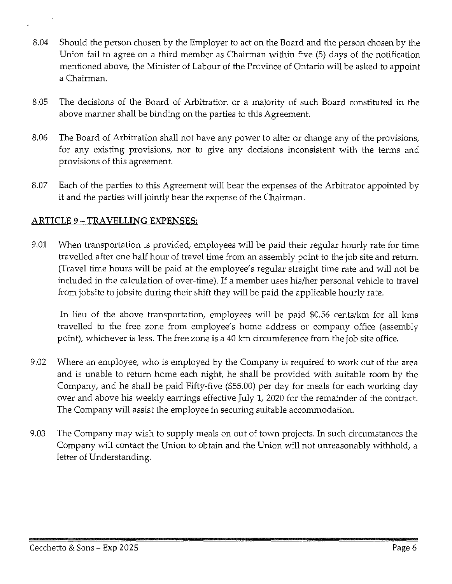- 8.04 Should the person chosen by the Employer to act on the Board and the person chosen by the Union fail to agree on a third member as Chairman within five (5) days of the notification mentioned above, the Minister of Labour of the Province of Ontario will be asked to appoint a Chairman.
- 8.05 The decisions of the Board of Arbitration or a majority of such Board constituted in the above manner shall be binding on the parties to this Agreement.
- 8.06 The Board of Arbitration shall not have any power to alter or change any of the provisions, for any existing provisions, nor to give any decisions inconsistent with the terms and provisions of this agreement.
- 8.07 Each of the parties to this Agreement will bear the expenses of the Arbitrator appointed by it and the parties will jointly bear the expense of the Chairman.

# **ARTICLE 9 -TRA YELLING** EXPENSES:

9.01 When transportation is provided, employees will be paid their regular hourly rate for time travelled after one half hour of travel time from an assembly point to the job site and return. (Travel time hours will be paid at the employee's regular straight time rate and will not be included in the calculation of over-time). If a member uses his/her personal vehicle to travel from jobsite to jobsite during their shift they will be paid the applicable hourly rate.

In lieu of the above transportation, employees will be paid \$0.56 cents/km for all kms travelled to the free zone from employee's home address or company office (assembly point), whichever is less. The free zone is a 40 km circumference from the job site office.

- 9.02 Where an employee, who is employed by the Company is required to work out of the area and is unable to return home each night, he shall be provided with suitable room by the Company, and he shall be paid Fifty-five (\$55.00) per day for meals for each working day over and above his weekly earnings effective July l, 2020 for the remainder of the contract. The Company will assist the employee in securing suitable accommodation.
- 9.03 The Company may wish to supply meals on out of town projects. In such circumstances the Company will contact the Union to obtain and the Union will not unreasonably withhold, a letter of Understanding.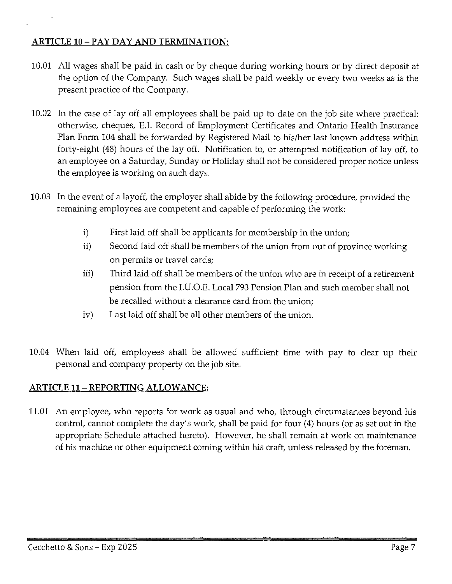# **ARTICLE IO-PAYDAY AND TERMINATION:**

- 10.01 All wages shall be paid in cash or by cheque during working hours or by direct deposit at the option of the Company. Such wages shall be paid weekly or every two weeks as is the present practice of the Company.
- 10.02 In the case of lay off all employees shall be paid up to date on the job site where practical: otherwise, cheques, E.I. Record of Employment Certificates and Ontario Health Insurance Plan Form 104 shall be forwarded by Registered Mail to his/her last known address within forty-eight (48) hours of the lay off. Notification to, or attempted notification of lay off, to an employee on a Saturday, Sunday or Holiday shall not be considered proper notice unless the employee is working on such days.
- 10.03 In the event of a layoff, the employer shall abide by the following procedure, provided the remaining employees are competent and capable of performing the work:
	- i) First laid off shall be applicants for membership in the union;
	- ii) Second laid off shall be members of the union from out of province working on permits or travel cards;
	- iii) Third laid off shall be members of the union who are in receipt of a retirement pension from the I.U.O.E. Local 793 Pension Plan and such member shall not be recalled without a clearance card from the union;
	- iv) Last laid off shall be all other members of the union.
- 10.04 When laid off, employees shall be allowed sufficient time with pay to clear up their personal and company property on the job site.

# **ARTICLE 11- REPORTING ALLOWANCE:**

11.01 An employee, who reports for work as usual and who, through circumstances beyond his control, cannot complete the day's work, shall be paid for four (4) hours (or as set out in the appropriate Schedule attached hereto). However, he shall remain at work on maintenance of his machine or other equipment coming within his craft, unless released by the foreman.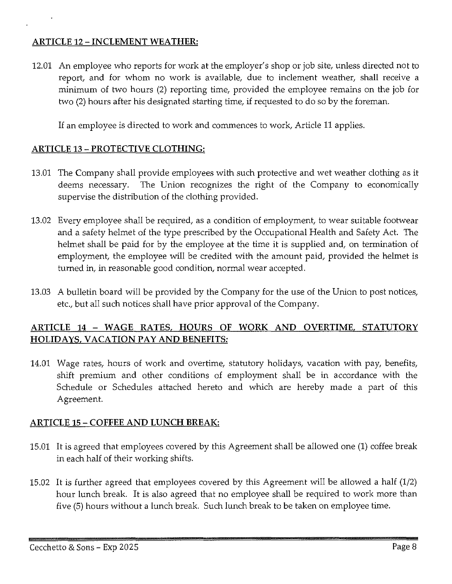#### **ARTICLE 12-INCLEMENT WEATHER:**

12.01 An employee who reports for work at the employer's shop or job site, unless directed not to report, and for whom no work is available, due to inclement weather, shall receive a minimum of two hours (2) reporting time, provided the employee remains on the job for two (2) hours after his designated starting time, if requested to do so by the foreman.

If an employee is directed to work and commences to work, Article 11 applies.

# **ARTICLE** 13 - **PROTECTIVE CLOTHING:**

- 13.01 The Company shall provide employees with such protective and wet weather clothing as it deems necessary. The Union recognizes the right of the Company to economically supervise the distribution of the clothing provided.
- 13.02 Every employee shall be required, as a condition of employment, to wear suitable footwear and a safety helmet of the type prescribed by the Occupational Health and Safety Act. The helmet shall be paid for by the employee at the time it is supplied and, on termination of employment, the employee will be credited with the amount paid, provided the helmet is turned in, in reasonable good condition, normal wear accepted.
- 13.03 A bulletin board will be provided by the Company for the use of the Union to post notices, etc., but all such notices shall have prior approval of the Company.

# **ARTICLE 14 - WAGE RATES, HOURS OF WORK AND OVERTIME, STATUTORY HOLIDAYS, VACATION PAY AND BENEFITS:**

14.01 Wage rates, hours of work and overtime, statutory holidays, vacation with pay, benefits, shift premium and other conditions of employment shall be in accordance with the Schedule or Schedules attached hereto and which are hereby made a part of this Agreement.

# **ARTICLE 15 - COFFEE AND LUNCH BREAK:**

- 15.01 It is agreed that employees covered by this Agreement shall be allowed one (1) coffee break in each half of their working shifts.
- 15.02 It is further agreed that employees covered by this Agreement will be allowed a half (1/2) hour lunch break. It is also agreed that no employee shall be required to work more than five (5) hours without a lunch break. Such lunch break to be taken on employee time.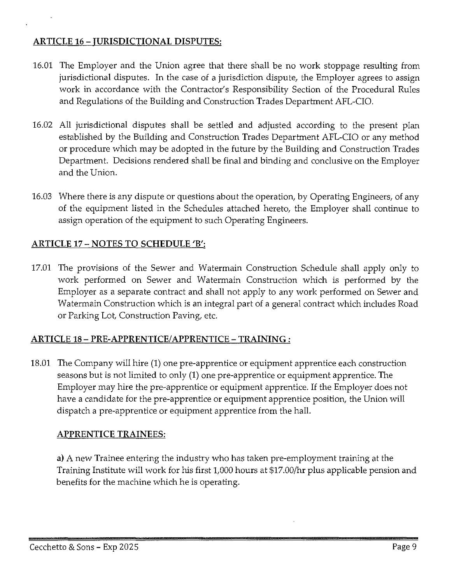#### ARTICLE 16 - JURISDICTIONAL DISPUTES:

- 16.01 The Employer and the Union agree that there shall be no work stoppage resulting from jurisdictional disputes. In the case of a jurisdiction dispute, the Employer agrees to assign work in accordance with the Contractor's Responsibility Section of the Procedural Rules and Regulations of the Building and Construction Trades Department AFL-CIO.
- 16.02 All jurisdictional disputes shall be settled and adjusted according to the present plan established by the Building and Construction Trades Department AFL-CIO or any method or procedure which may be adopted in the future by the Building and Construction Trades Department. Decisions rendered shall be final and binding and conclusive on the Employer and the Union.
- 16.03 Where there is any dispute or questions about the operation, by Operating Engineers, of any of the equipment listed in the Schedules attached hereto, the Employer shall continue to assign operation of the equipment to such Operating Engineers.

# ARTICLE 17 - NOTES TO SCHEDULE 'B':

17.01 The provisions of the Sewer and Watermain Construction Schedule shall apply only to work performed on Sewer and Watermain Construction which is performed by the Employer as a separate contract and shall not apply to any work performed on Sewer and Watermain Construction which is an integral part of a general contract which includes Road or Parking Lot, Construction Paving, etc.

#### ARTICLE 18- PRE-APPRENTICE/APPRENTICE-TRAINING:

18.01 The Company will hire (1) one pre-apprentice or equipment apprentice each construction seasons but is not limited to only (1) one pre-apprentice or equipment apprentice. The Employer may hire the pre-apprentice or equipment apprentice. If the Employer does not have a candidate for the pre-apprentice or equipment apprentice position, the Union will dispatch a pre-apprentice or equipment apprentice from the hall.

#### APPRENTICE TRAINEES:

a) A new Trainee entering the industry who has taken pre-employment training at the Training Institute will work for his first 1,000 hours at \$17.00/hr plus applicable pension and benefits for the machine which he is operating.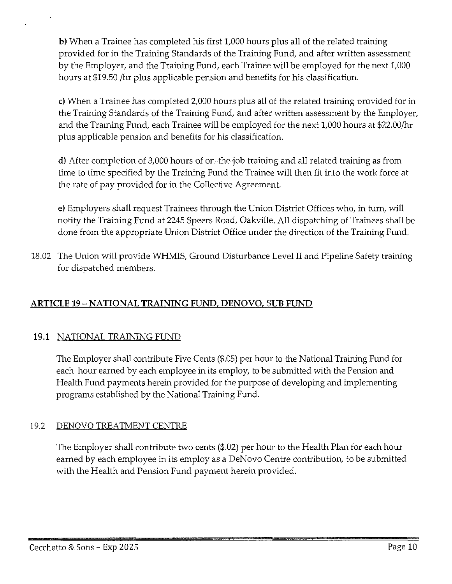**b)** When a Trainee has completed his first 1,000 hours plus all of the related training provided for in the Training Standards of the Training Fund, and after written assessment by the Employer, and the Training Fund, each Trainee will be employed for the next 1,000 hours at \$19.50 /hr plus applicable pension and benefits for his classification.

c) When a Trainee has completed 2,000 hours plus all of the related training provided for in the Training Standards of the Training Fund, and after written assessment by the Employer, and the Training Fund, each Trainee will be employed for the next 1,000 hours at \$22.00/hr plus applicable pension and benefits for his classification.

d) After completion of 3,000 hours of on-the-job training and all related training as from time to time specified by the Training Fund the Trainee will then fit into the work force at the rate of pay provided for in the Collective Agreement.

e) Employers shall request Trainees through the Union District Offices who, in turn, will notify the Training Fund at 2245 Speers Road, Oakville. All dispatching of Trainees shall be done from the appropriate Union District Office under the direction of the Training Fund.

18.02 The Union will provide WHMIS, Ground Disturbance Level II and Pipeline Safety training for dispatched members.

# **ARTICLE** 19 - **NATIONAL TRAINING FUND, DENOVO, SUB FUND**

# 19.1 NATIONAL TRAINING FUND

The Employer shall contribute Five Cents (\$.05) per hour to the National Training Fund for each hour earned by each employee in its employ, to be submitted with the Pension and Health Fund payments herein provided for the purpose of developing and implementing programs established by the National Training Fund.

# 19.2 DENOVO TREATMENT CENTRE

The Employer shall contribute two cents (\$.02) per hour to the Health Plan for each hour earned by each employee in its employ as a DeNovo Centre contribution, to be submitted with the Health and Pension Fund payment herein provided.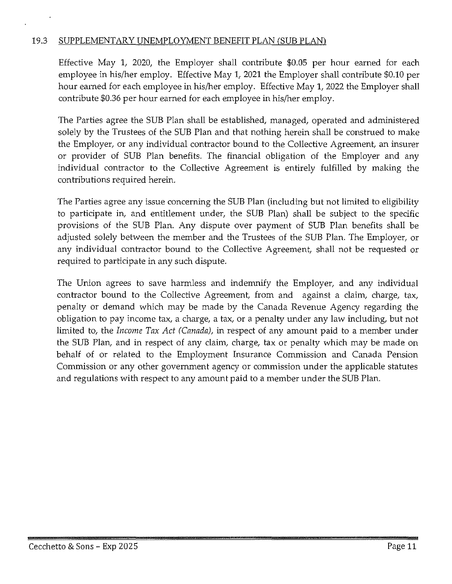#### 19.3 SUPPLEMENTARY UNEMPLOYMENT BENEFIT PLAN (SUB PLAN)

Effective May **1,** 2020, the Employer shall contribute \$0.05 per hour earned for each employee in his/her employ. Effective May **1,** 2021 the Employer shall contribute \$0.10 per hour earned for each employee in his/her employ. Effective May **1,** 2022 the Employer shall contribute \$0.36 per hour earned for each employee in his/her employ.

The Parties agree the SUB Plan shall be established, managed, operated and administered solely by the Trustees of the SUB Plan and that nothing herein shall be construed to make the Employer, or any individual contractor bound to the Collective Agreement, an insurer or provider of SUB Plan benefits. The financial obligation of the Employer and any individual contractor to the Collective Agreement is entirely fulfilled by making the contributions required herein.

The Parties agree any issue concerning the SUB Plan (including but not limited to eligibility to participate in, and entitlement under, the SUB Plan) shall be subject to the specific provisions of the SUB Plan. Any dispute over payment of SUB Plan benefits shall be adjusted solely between the member and the Trustees of the SUB Plan. The Employer, or any individual contractor bound to the Collective Agreement, shall not be requested or required to participate in any such dispute.

The Union agrees to save harmless and indemnify the Employer, and any individual contractor bound to the Collective Agreement, from and against a claim, charge, tax, penalty or demand which may be made by the Canada Revenue Agency regarding the obligation to pay income tax, a charge, a tax, or a penalty under any law including, but not limited to, the *Income Tax Act (Canada),* in respect of any amount paid to a member under the SUB Plan, and in respect of any claim, charge, tax or penalty which may be made on behalf of or related to the Employment Insurance Commission and Canada Pension Commission or any other government agency or commission under the applicable statutes and regulations with respect to any amount paid to a member under the SUB Plan.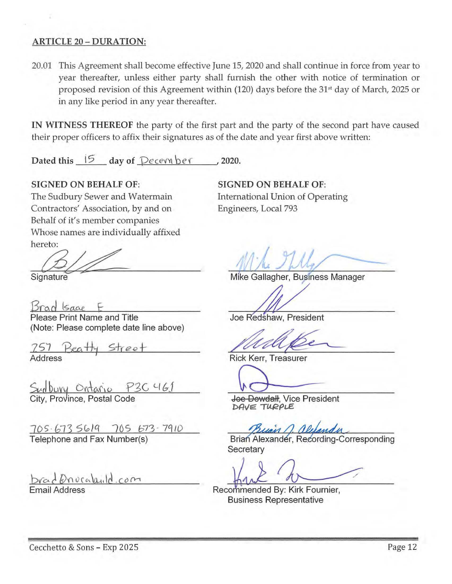#### ARTICLE 20 - DURATION:

20.01 This Agreement shall become effective June 15, 2020 and shall continue in force from year to year thereafter, unless either party shall furnish the other with notice of termination or proposed revision of this Agreement within (120) days before the 31<sup>st</sup> day of March, 2025 or in any like period in any year thereafter.

IN WITNESS THEREOF the party of the first part and the party of the second part have caused their proper officers to affix their signatures as of the date and year first above written:

Dated this 15 day of *<u>December</u>*, 2020.

#### SIGNED ON BEHALF OF:

The Sudbury Sewer and Watermain Contractors' Association, by and on Behalf of it's member companies Whose names are individually affixed hereto:

hereto:<br>Signature

 $Bradgae$ 

Please Print Name and Title (Note: Please complete date line above)

257 Beatty Street

Surbury Ontario P3C 461 City, Province, Postal Code

705.673 5619 705 673 - 7910 Telephone and Fax Number(s)

brad Driveabuld.com Email Address

SIGNED ON BEHALF OF: International Union of Operating Engineers, Local 793

Mike Gallagher, Business Manager

Joe Redshaw, President

Rick Kerr, Treasurer

Joe Dowdall, Vice President DAVE TURPLE

Buan n. alexand

Brian Alexander, Recording-Corresponding Secretary

Recommended By: Kirk Fournier, **Business Representative**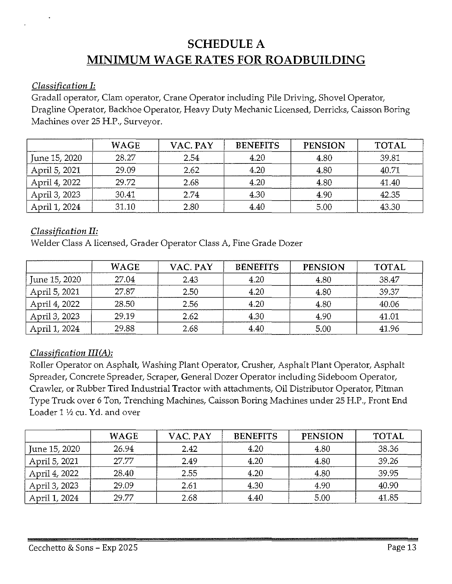# **SCHEDULE A MINIMUM WAGE RATES FOR ROADBUILDING**

#### *Classification I:*

Gradall operator, Clam operator, Crane Operator including Pile Driving, Shovel Operator, Dragline Operator, Backhoe Operator, Heavy Duty Mechanic Licensed, Derricks, Caisson Boring Machines over 25 H.P., Surveyor.

|               | <b>WAGE</b> | VAC. PAY | <b>BENEFITS</b> | <b>PENSION</b> | <b>TOTAL</b> |
|---------------|-------------|----------|-----------------|----------------|--------------|
| June 15, 2020 | 28.27       | 2.54     | 4.20            | 4.80           | 39.81        |
| April 5, 2021 | 29.09       | 2.62     | 4.20            | 4.80           | 40.71        |
| April 4, 2022 | 29.72       | 2.68     | 4.20            | 4.80           | 41.40        |
| April 3, 2023 | 30.41       | 2.74     | 4.30            | 4.90           | 42.35        |
| April 1, 2024 | 31.10       | 2.80     | 4.40            | 5.00           | 43.30        |

# *Classification II:*

Welder Class A licensed, Grader Operator Class A, Fine Grade Dozer

|               | <b>WAGE</b> | VAC. PAY | <b>BENEFITS</b> | <b>PENSION</b> | <b>TOTAL</b> |
|---------------|-------------|----------|-----------------|----------------|--------------|
| June 15, 2020 | 27.04       | 2.43     | 4.20            | 4.80           | 38.47        |
| April 5, 2021 | 27.87       | 2.50     | 4.20            | 4.80           | 39.37        |
| April 4, 2022 | 28.50       | 2.56     | 4.20            | 4.80           | 40.06        |
| April 3, 2023 | 29.19       | 2.62     | 4.30            | 4.90           | 41.01        |
| April 1, 2024 | 29.88       | 2.68     | 4.40            | 5.00           | 41.96        |

# *Classification III(A):*

Roller Operator on Asphalt, Washing Plant Operator, Crusher, Asphalt Plant Operator, Asphalt Spreader, Concrete Spreader, Scraper, General Dozer Operator including Sideboom Operator, Crawler, or Rubber Tired Industrial Tractor with attachments, Oil Distributor Operator, Pitman Type Truck over 6 Ton, Trenching Machines, Caisson Boring Machines under 25 H.P., Front End Loader  $1\frac{1}{2}$  cu. Yd. and over

|               | <b>WAGE</b> | VAC. PAY | <b>BENEFITS</b> | <b>PENSION</b> | <b>TOTAL</b> |
|---------------|-------------|----------|-----------------|----------------|--------------|
| June 15, 2020 | 26.94       | 2.42     | 4.20            | 4.80           | 38.36        |
| April 5, 2021 | 27.77       | 2.49     | 4.20            | 4.80           | 39.26        |
| April 4, 2022 | 28.40       | 2.55     | 4.20            | 4.80           | 39.95        |
| April 3, 2023 | 29.09       | 2.61     | 4.30            | 4.90           | 40.90        |
| April 1, 2024 | 29.77       | 2.68     | 4.40            | 5.00           | 41.85        |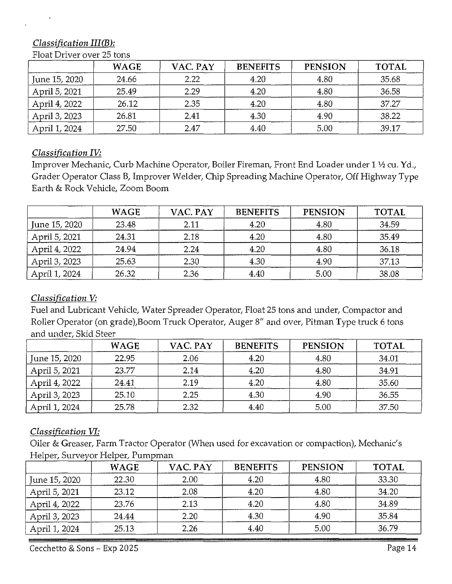# *Classification III(B):*

|               | <b>WAGE</b> | VAC. PAY | <b>BENEFITS</b> | <b>PENSION</b> | <b>TOTAL</b> |
|---------------|-------------|----------|-----------------|----------------|--------------|
| June 15, 2020 | 24.66       | 2.22     | 4.20            | 4.80           | 35.68        |
| April 5, 2021 | 25.49       | 2.29     | 4.20            | 4.80           | 36.58        |
| April 4, 2022 | 26.12       | 2.35     | 4.20            | 4.80           | 37.27        |
| April 3, 2023 | 26.81       | 2.41     | 4.30            | 4.90           | 38.22        |
| April 1, 2024 | 27.50       | 2.47     | 4.40            | 5.00           | 39.17        |

#### Float Driver over 25 tons

#### *Classification IV:*

Improver Mechanic, Curb Machine Operator, Boiler Fireman, Front End Loader under 1 ½ cu. Yd., Grader Operator Class B, Improver Welder, Chip Spreading Machine Operator, Off Highway Type Earth & Rock Vehicle, Zoom Boom

|               | <b>WAGE</b> | VAC. PAY | <b>BENEFITS</b> | <b>PENSION</b> | <b>TOTAL</b> |
|---------------|-------------|----------|-----------------|----------------|--------------|
| June 15, 2020 | 23.48       | 2.11     | 4.20            | 4.80           | 34.59        |
| April 5, 2021 | 24.31       | 2.18     | 4.20            | 4.80           | 35.49        |
| April 4, 2022 | 24.94       | 2.24     | 4.20            | 4.80           | 36.18        |
| April 3, 2023 | 25.63       | 2.30     | 4.30            | 4.90           | 37.13        |
| April 1, 2024 | 26.32       | 2.36     | 4.40            | 5.00           | 38.08        |

#### *Classification V:*

Fuel and Lubricant Vehicle, Water Spreader Operator, Float 25 tons and under, Compactor and Roller Operator (on grade),Boom Truck Operator, Auger 8" and over, Pitman Type truck 6 tons and under, Skid Steer

|               | <b>WAGE</b> | VAC. PAY | <b>BENEFITS</b> | <b>PENSION</b> | <b>TOTAL</b> |
|---------------|-------------|----------|-----------------|----------------|--------------|
| June 15, 2020 | 22.95       | 2.06     | 4.20            | 4.80           | 34.01        |
| April 5, 2021 | 23.77       | 2.14     | 4.20            | 4.80           | 34.91        |
| April 4, 2022 | 24.41       | 2.19     | 4.20            | 4.80           | 35.60        |
| April 3, 2023 | 25.10       | 2.25     | 4.30            | 4.90           | 36.55        |
| April 1, 2024 | 25.78       | 2.32     | 4.40            | 5.00           | 37.50        |

#### *Classification VI:*

Oiler & Greaser, Farm Tractor Operator (When used for excavation or compaction), Mechanic's Helper, Surveyor Helper, Pumpman

|               | <b>WAGE</b> | VAC. PAY | <b>BENEFITS</b> | <b>PENSION</b> | <b>TOTAL</b> |
|---------------|-------------|----------|-----------------|----------------|--------------|
| June 15, 2020 | 22.30       | 2.00     | 4.20            | 4.80           | 33.30        |
| April 5, 2021 | 23.12       | 2.08     | 4.20            | 4.80           | 34.20        |
| April 4, 2022 | 23.76       | 2.13     | 4.20            | 4.80           | 34.89        |
| April 3, 2023 | 24.44       | 2.20     | 4.30            | 4.90           | 35.84        |
| April 1, 2024 | 25.13       | 2.26     | 4.40            | 5.00           | 36.79        |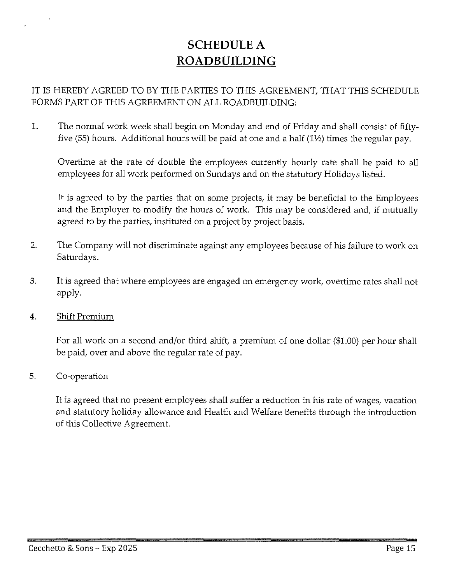# **SCHEDULE** A **ROAD BUILDING**

# IT IS HEREBY AGREED TO BY THE PARTIES TO THIS AGREEMENT, THAT THIS SCHEDULE FORMS PART OF THIS AGREEMENT ON ALL ROADBUILDING:

1. The normal work week shall begin on Monday and end of Friday and shall consist of fiftyfive (55) hours. Additional hours will be paid at one and a half  $(1\frac{1}{2})$  times the regular pay.

Overtime at the rate of double the employees currently hourly rate shall be paid to all employees for all work performed on Sundays and on the statutory Holidays listed.

It is agreed to by the parties that on some projects, it may be beneficial to the Employees and the Employer to modify the hours of work. This may be considered and, if mutually agreed to by the parties, instituted on a project by project basis.

- 2. The Company will not discriminate against any employees because of his failure to work on Saturdays.
- 3. It is agreed that where employees are engaged on emergency work, overtime rates shall not apply.
- 4. Shift Premium

For all work on a second and/or third shift, a premium of one dollar (\$1.00) per hour shall be paid, over and above the regular rate of pay.

5. Co-operation

It is agreed that no present employees shall suffer a reduction in his rate of wages, vacation and statutory holiday allowance and Health and Welfare Benefits through the introduction of this Collective Agreement.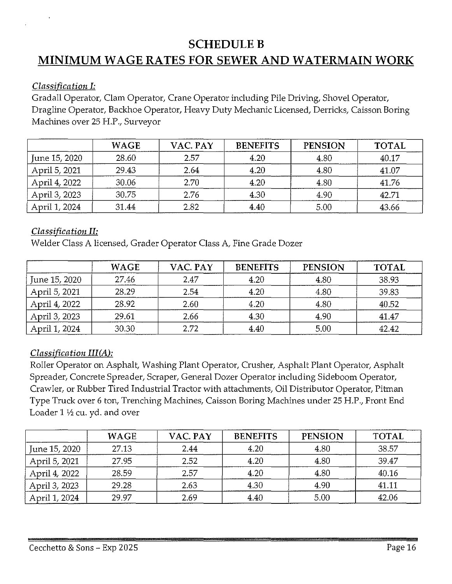# **SCHEDULEB**

# **MINIMUM WAGE RATES FOR SEWER AND WATERMAIN WORK**

#### *Classification I:*

Gradall Operator, Clam Operator, Crane Operator including Pile Driving, Shovel Operator, Dragline Operator, Backhoe Operator, Heavy Duty Mechanic Licensed, Derricks, Caisson Boring Machines over 25 H.P., Surveyor

|               | <b>WAGE</b> | VAC. PAY | <b>BENEFITS</b> | <b>PENSION</b> | <b>TOTAL</b> |
|---------------|-------------|----------|-----------------|----------------|--------------|
| June 15, 2020 | 28.60       | 2.57     | 4.20            | 4.80           | 40.17        |
| April 5, 2021 | 29 43       | 2.64     | 4.20            | 4.80           | 41.07        |
| April 4, 2022 | 30.06       | 2.70     | 4.20            | 4.80           | 41.76        |
| April 3, 2023 | 30.75       | 2.76     | 4.30            | 4.90           | 42.71        |
| April 1, 2024 | 31.44       | 2.82     | 4.40            | 5.00           | 43.66        |

#### *Classification II:*

Welder Class A licensed, Grader Operator Class A, Fine Grade Dozer

|               | <b>WAGE</b> | VAC. PAY | <b>BENEFITS</b> | <b>PENSION</b> | <b>TOTAL</b> |
|---------------|-------------|----------|-----------------|----------------|--------------|
| June 15, 2020 | 27.46       | 2.47     | 4.20            | 4.80           | 38.93        |
| April 5, 2021 | 28.29       | 2.54     | 4.20            | 4.80           | 39.83        |
| April 4, 2022 | 28.92       | 2.60     | 4.20            | 4.80           | 40.52        |
| April 3, 2023 | 29.61       | 2.66     | 4.30            | 4.90           | 41.47        |
| April 1, 2024 | 30.30       | 2.72     | 4.40            | 5.00           | 42.42        |

# *Classification III(A):*

Roller Operator on Asphalt, Washing Plant Operator, Crusher, Asphalt Plant Operator, Asphalt Spreader, Concrete Spreader, Scraper, General Dozer Operator including Sideboom Operator, Crawler, or Rubber Tired Industrial Tractor with attachments, Oil Distributor Operator, Pitman Type Truck over 6 ton, Trenching Machines, Caisson Boring Machines under 25 H.P., Front End Loader  $1 \frac{1}{2}$  cu. yd. and over

|               | <b>WAGE</b> | VAC. PAY | <b>BENEFITS</b> | <b>PENSION</b> | <b>TOTAL</b> |
|---------------|-------------|----------|-----------------|----------------|--------------|
| June 15, 2020 | 27.13       | 2.44     | 4.20            | 4.80           | 38.57        |
| April 5, 2021 | 27.95       | 2.52     | 4.20            | 4.80           | 39.47        |
| April 4, 2022 | 28.59       | 2.57     | 4.20            | 4.80           | 40.16        |
| April 3, 2023 | 29.28       | 2.63     | 4.30            | 4.90           | 41.11        |
| April 1, 2024 | 29.97       | 2.69     | 4.40            | 5.00           | 42.06        |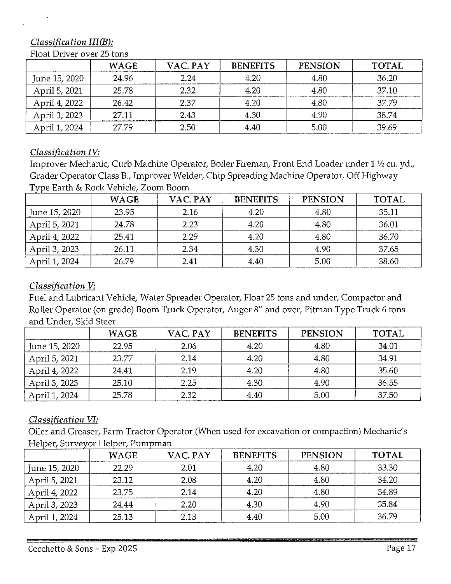# *Classification III(B):*

|               | <b>WAGE</b> | VAC. PAY | <b>BENEFITS</b> | <b>PENSION</b> | <b>TOTAL</b> |
|---------------|-------------|----------|-----------------|----------------|--------------|
| June 15, 2020 | 24.96       | 2.24     | 4.20            | 4.80           | 36.20        |
| April 5, 2021 | 25.78       | 2.32     | 4.20            | 4.80           | 37.10        |
| April 4, 2022 | 26.42       | 2.37     | 4.20            | 4.80           | 37.79        |
| April 3, 2023 | 27.11       | 2.43     | 4.30            | 4.90           | 38.74        |
| April 1, 2024 | 27.79       | 2.50     | 4.40            | 5.00           | 39.69        |

#### Float Driver over 25 tons

#### *Classification IV:*

Improver Mechanic, Curb Machine Operator, Boiler Fireman, Front End Loader under 1 1/2 cu. yd., Grader Operator Class B., Improver Welder, Chip Spreading Machine Operator, Off Highway Type Earth & Rock Vehicle, Zoom Boom

|               | <b>WAGE</b> | VAC. PAY | <b>BENEFITS</b> | <b>PENSION</b> | <b>TOTAL</b> |
|---------------|-------------|----------|-----------------|----------------|--------------|
| June 15, 2020 | 23.95       | 2.16     | 4.20            | 4.80           | 35.11        |
| April 5, 2021 | 24.78       | 2.23     | 4.20            | 4.80           | 36.01        |
| April 4, 2022 | 25.41       | 2.29     | 4.20            | 4.80           | 36.70        |
| April 3, 2023 | 26.11       | 2.34     | 4.30            | 4.90           | 37.65        |
| April 1, 2024 | 26.79       | 2.41     | 4.40            | 5.00           | 38.60        |

#### *Classification V:*

Fuel and Lubricant Vehicle, Water Spreader Operator, Float 25 tons and under, Compactor and Roller Operator (on grade) Boom Truck Operator, Auger 8" and over, Pitman Type Truck 6 tons and Under, Skid Steer

|               | <b>WAGE</b> | VAC. PAY | <b>BENEFITS</b> | <b>PENSION</b> | <b>TOTAL</b> |
|---------------|-------------|----------|-----------------|----------------|--------------|
| June 15, 2020 | 22.95       | 2.06     | 4.20            | 4.80           | 34.01        |
| April 5, 2021 | 23.77       | 2.14     | 4.20            | 4.80           | 34.91        |
| April 4, 2022 | 24.41       | 2.19     | 4.20            | 4.80           | 35.60        |
| April 3, 2023 | 25.10       | 2.25     | 4.30            | 4.90           | 36.55        |
| April 1, 2024 | 25.78       | 2.32     | 4.40            | 5.00           | 37.50        |

# *Classification VI:*

Oiler and Greaser, Farm Tractor Operator (When used for excavation or compaction) Mechanic's Helper, Surveyor Helper, Pumpman

|               | <b>WAGE</b> | VAC. PAY | <b>BENEFITS</b> | <b>PENSION</b> | <b>TOTAL</b> |
|---------------|-------------|----------|-----------------|----------------|--------------|
| June 15, 2020 | 22.29       | 2.01     | 4.20            | 4.80           | 33.30        |
| April 5, 2021 | 23.12       | 2.08     | 4.20            | 4.80           | 34.20        |
| April 4, 2022 | 23.75       | 2.14     | 4.20            | 4.80           | 34.89        |
| April 3, 2023 | 24.44       | 2.20     | 4.30            | 4.90           | 35.84        |
| April 1, 2024 | 25.13       | 2.13     | 4.40            | 5.00           | 36.79        |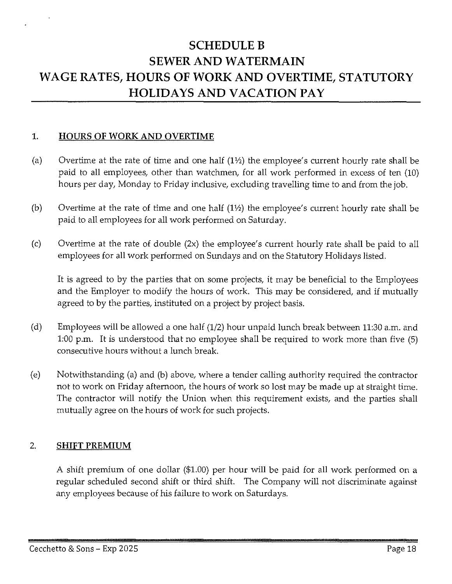# **SCHEDULEB SEWER AND WATERMAIN WAGE RATES, HOURS OF WORK AND OVERTIME, STATUTORY HOLIDAYS AND VACATION PAY**

#### **1. HOURS OF WORK AND OVERTIME**

- (a) Overtime at the rate of time and one half  $(1<sup>1</sup>)$  the employee's current hourly rate shall be paid to all employees, other than watchmen, for all work performed in excess of ten (10) hours per day, Monday to Friday inclusive, excluding travelling time to and from the job.
- (b) Overtime at the rate of time and one half  $(1\frac{1}{2})$  the employee's current hourly rate shall be paid to all employees for all work performed on Saturday.
- (c) Overtime at the rate of double (2x) the employee's current hourly rate shall be paid to all employees for all work performed on Sundays and on the Statutory Holidays listed.

It is agreed to by the parties that on some projects, it may be beneficial to the Employees and the Employer to modify the hours of work. This may be considered, and if mutually agreed to by the parties, instituted on a project by project basis.

- (d) Employees will be allowed a one half (1/2) hour unpaid lunch break between 11:30 a.m. and 1:00 p.m. It is understood that no employee shall be required to work more than five (5) consecutive hours without a lunch break.
- (e) Notwithstanding (a) and (b) above, where a tender calling authority required the contractor not to work on Friday afternoon, the hours of work so lost may be made up at straight time. The contractor will notify the Union when this requirement exists, and the parties shall mutually agree on the hours of work for such projects.

#### 2. **SHIFT PREMIUM**

A shift premium of one dollar (\$1.00) per hour will be paid for all work performed on a regular scheduled second shift or third shift. The Company will not discriminate against any employees because of his failure to work on Saturdays.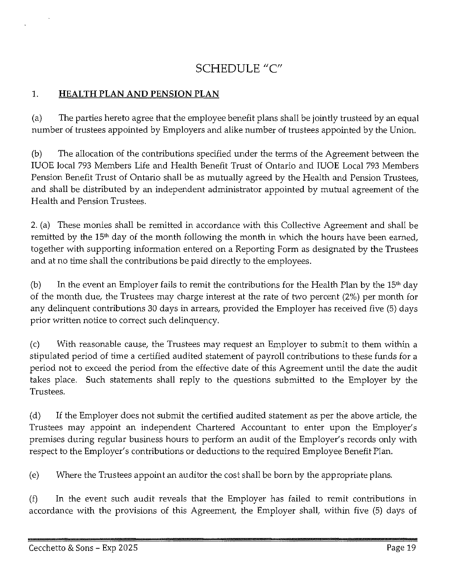# **SCHEDULE** "C"

# **1. HEALTH PLAN AND PENSION PLAN**

(a) The parties hereto agree that the employee benefit plans shall be jointly trusteed by an equal number of trustees appointed by Employers and alike number of trustees appointed by the Union.

(b) The allocation of the contributions specified under the terms of the Agreement between the IUOE local 793 Members Life and Health Benefit Trust of Ontario and IUOE Local 793 Members Pension Benefit Trust of Ontario shall be as mutually agreed by the Health and Pension Trustees, and shall be distributed by an independent administrator appointed by mutual agreement of the Health and Pension Trustees.

2. (a) These monies shall be remitted in accordance with this Collective Agreement and shall be remitted by the 15<sup>th</sup> day of the month following the month in which the hours have been earned, together with supporting information entered on a Reporting Form as designated by the Trustees and at no time shall the contributions be paid directly to the employees.

(b) In the event an Employer fails to remit the contributions for the Health Plan by the  $15<sup>th</sup>$  day of the month due, the Trustees may charge interest at the rate of two percent (2%) per month for any delinquent contributions 30 days in arrears, provided the Employer has received five (5) days prior written notice to correct such delinquency.

(c) With reasonable cause, the Trustees may request an Employer to submit to them within a stipulated period of time a certified audited statement of payroll contributions to these funds for a period not to exceed the period from the effective date of this Agreement until the date the audit takes place. Such statements shall reply to the questions submitted to the Employer by the Trustees.

(d) If the Employer does not submit the certified audited statement as per the above article, the Trustees may appoint an independent Chartered Accountant to enter upon the Employer's premises during regular business hours to perform an audit of the Employer's records only with respect to the Employer's contributions or deductions to the required Employee Benefit Plan.

(e) Where the T1ustees appoint an auditor the cost shall be born by the appropriate plans.

(f) In the event such audit reveals that the Employer has failed to remit contributions in accordance with the provisions of this Agreement, the Employer shall, within five (5) days of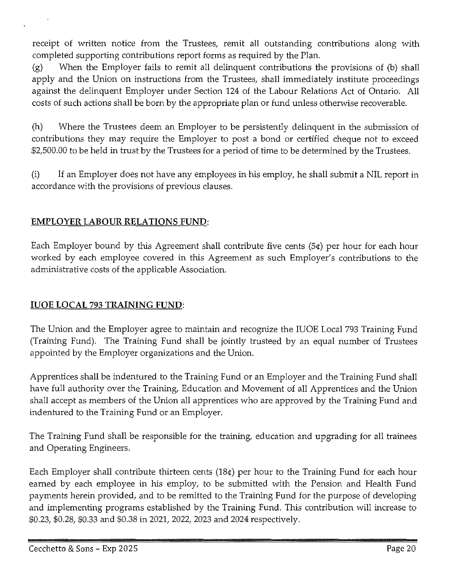receipt of written notice from the Trustees, remit all outstanding contributions along with completed supporting contributions report forms as required by the Plan.

(g) When the Employer fails to remit all delinquent contributions the provisions of (b) shall apply and the Union on instructions from the Trustees, shall immediately institute proceedings against the delinquent Employer under Section 124 of the Labour Relations Act of Ontario. All costs of such actions shall be born by the appropriate plan or fund unless otherwise recoverable.

(h) Where the Trustees deem an Employer to be persistently delinquent in the submission of contributions they may require the Employer to post a bond or certified cheque not to exceed \$2,500.00 to be held in trust by the Trustees for a period of time to be determined by the Trustees.

(i) If an Employer does not have any employees in his employ, he shall submit a NIL report in accordance with the provisions of previous clauses.

# **EMPLOYER LABOUR RELATIONS FUND:**

Each Employer bound by this Agreement shall contribute five cents (5¢) per hour for each hour worked by each employee covered in this Agreement as such Employer's contributions to the administrative costs of the applicable Association.

# **IUOE LOCAL** 793 **TRAINING FUND:**

The Union and the Employer agree to maintain and recognize the IUOE Local 793 Training Fund (Training Fund). The Training Fund shall be jointly trusteed by an equal number of Trustees appointed by the Employer organizations and the Union.

Apprentices shall be indentured to the Training Fund or an Employer and the Training Fund shall have full authority over the Training, Education and Movement of all Apprentices and the Union shall accept as members of the Union all apprentices who are approved by the Training Fund and indentured to the Training Fund or an Employer.

The Training Fund shall be responsible for the training, education and upgrading for all trainees and Operating Engineers.

Each Employer shall contribute thirteen cents (18¢) per hour to the Training Fund for each hour earned by each employee in his employ, to be submitted with the Pension and Health Fund payments herein provided, and to be remitted to the Training Fund for the purpose of developing and implementing programs established by the Training Fund. This contribution will increase to \$0.23, \$0.28, \$0.33 and \$0.38 in 2021, 2022, 2023 and 2024 respectively.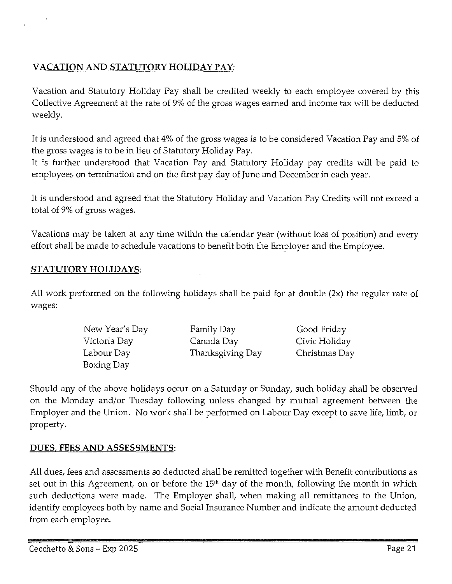# **VACATION AND STATUTORY HOLIDAY PAY:**

Vacation and Statutory Holiday Pay shall be credited weekly to each employee covered by this Collective Agreement at the rate of 9% of the gross wages earned and income tax will be deducted weekly.

It is understood and agreed that 4% of the gross wages is to be considered Vacation Pay and 5% of the gross wages is to be in lieu of Statutory Holiday Pay.

It is further understood that Vacation Pay and Statutory Holiday pay credits will be paid to employees on termination and on the first pay day of June and December in each year.

It is understood and agreed that the Statutory Holiday and Vacation Pay Credits will not exceed a total of 9% of gross wages.

Vacations may be taken at any time within the calendar year (without loss of position) and every effort shall be made to schedule vacations to benefit both the Employer and the Employee.

#### **STATUTORY HOLIDAYS:**

All work performed on the following holidays shall be paid for at double (2x) the regular rate of wages:

| New Year's Day | Family Day       | Good Friday   |
|----------------|------------------|---------------|
| Victoria Day   | Canada Day       | Civic Holiday |
| Labour Day     | Thanksgiving Day | Christmas Day |
| Boxing Day     |                  |               |

Should any of the above holidays occur on a Saturday or Sunday, such holiday shall be observed on the Monday and/or Tuesday following unless changed by mutual agreement between the Employer and the Union. No work shall be performed on Labour Day except to save life, limb, or property.

# **DUES, FEES AND ASSESSMENTS:**

All dues, fees and assessments so deducted shall be remitted together with Benefit contributions as set out in this Agreement, on or before the 15<sup>th</sup> day of the month, following the month in which such deductions were made. The Employer shall, when making all remittances to the Union, identify employees both by name and Social Insurance Number and indicate the amount deducted from each employee.